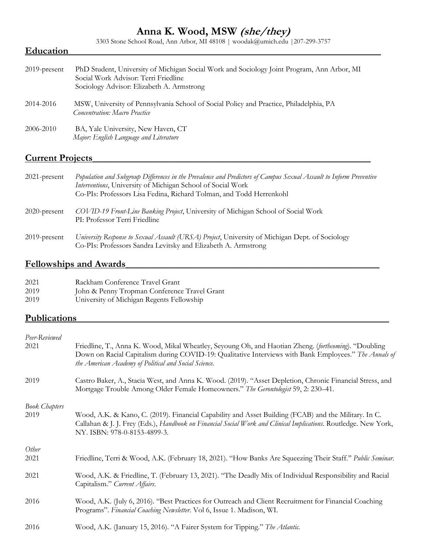## **Anna K. Wood, MSW (she/they)**

3303 Stone School Road, Ann Arbor, MI 48108 | woodak@umich.edu |207-299-3757

#### **Education**\_\_\_\_\_\_\_\_\_\_\_\_\_\_\_\_\_\_\_\_\_\_\_\_\_\_\_\_\_\_\_\_\_\_\_\_\_\_\_\_\_\_\_\_\_\_\_\_\_\_\_\_\_\_\_\_\_\_\_\_\_\_\_\_

| $2019$ -present | PhD Student, University of Michigan Social Work and Sociology Joint Program, Ann Arbor, MI<br>Social Work Advisor: Terri Friedline<br>Sociology Advisor: Elizabeth A. Armstrong |
|-----------------|---------------------------------------------------------------------------------------------------------------------------------------------------------------------------------|
| 2014-2016       | MSW, University of Pennsylvania School of Social Policy and Practice, Philadelphia, PA<br><b>Concentration: Macro Practice</b>                                                  |
| 2006-2010       | BA, Yale University, New Haven, CT<br>Major: English Language and Literature                                                                                                    |

### **Current Projects**\_\_\_\_\_\_\_\_\_\_\_\_\_\_\_\_\_\_\_\_\_\_\_\_\_\_\_\_\_\_\_\_\_\_\_\_\_\_\_\_\_\_\_\_\_\_\_\_\_\_\_\_\_\_\_\_\_

| $2021$ -present | Population and Subgroup Differences in the Prevalence and Predictors of Campus Sexual Assault to Inform Preventive<br>Interventions, University of Michigan School of Social Work<br>Co-PIs: Professors Lisa Fedina, Richard Tolman, and Todd Herrenkohl |
|-----------------|----------------------------------------------------------------------------------------------------------------------------------------------------------------------------------------------------------------------------------------------------------|
| $2020$ -present | COVID-19 Front-Line Banking Project, University of Michigan School of Social Work<br>PI: Professor Terri Friedline                                                                                                                                       |
| $2019$ -present | University Response to Sexual Assault (URSA) Project, University of Michigan Dept. of Sociology<br>Co-PIs: Professors Sandra Levitsky and Elizabeth A. Armstrong                                                                                         |

#### **Fellowships and Awards\_\_\_\_\_**\_\_\_\_\_\_\_\_\_\_\_\_\_\_\_\_\_\_\_\_\_\_\_\_\_\_\_\_\_\_\_\_\_\_\_\_\_\_\_\_\_\_\_\_\_\_\_

| 2021 | Rackham Conference Travel Grant              |
|------|----------------------------------------------|
| 2019 | John & Penny Tropman Conference Travel Grant |
| 2019 | University of Michigan Regents Fellowship    |

#### Publications

| Peer-Reviewed        |                                                                                                                                                                                                                                                                        |
|----------------------|------------------------------------------------------------------------------------------------------------------------------------------------------------------------------------------------------------------------------------------------------------------------|
| 2021                 | Friedline, T., Anna K. Wood, Mikal Wheatley, Seyoung Oh, and Haotian Zheng. (forthcoming). "Doubling<br>Down on Racial Capitalism during COVID-19: Qualitative Interviews with Bank Employees." The Annals of<br>the American Academy of Political and Social Science. |
| 2019                 | Castro Baker, A., Stacia West, and Anna K. Wood. (2019). "Asset Depletion, Chronic Financial Stress, and<br>Mortgage Trouble Among Older Female Homeowners." The Gerontologist 59, 2: 230-41.                                                                          |
| <b>Book Chapters</b> |                                                                                                                                                                                                                                                                        |
| 2019                 | Wood, A.K. & Kano, C. (2019). Financial Capability and Asset Building (FCAB) and the Military. In C.<br>Callahan & J. J. Frey (Eds.), Handbook on Financial Social Work and Clinical Implications. Routledge. New York,<br>NY. ISBN: 978-0-8153-4899-3.                |
| Other                |                                                                                                                                                                                                                                                                        |
| 2021                 | Friedline, Terri & Wood, A.K. (February 18, 2021). "How Banks Are Squeezing Their Staff." Public Seminar.                                                                                                                                                              |
| 2021                 | Wood, A.K. & Friedline, T. (February 13, 2021). "The Deadly Mix of Individual Responsibility and Racial<br>Capitalism." Current Affairs.                                                                                                                               |
| 2016                 | Wood, A.K. (July 6, 2016). "Best Practices for Outreach and Client Recruitment for Financial Coaching<br>Programs". Financial Coaching Newsletter. Vol 6, Issue 1. Madison, WI.                                                                                        |
| 2016                 | Wood, A.K. (January 15, 2016). "A Fairer System for Tipping." The Atlantic.                                                                                                                                                                                            |
|                      |                                                                                                                                                                                                                                                                        |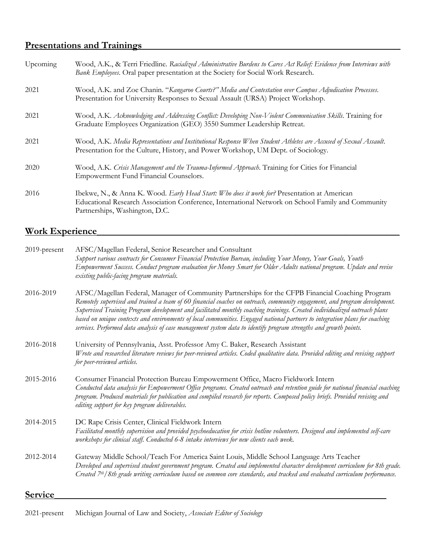## **Presentations and Trainings\_**\_\_\_\_\_\_\_\_\_\_\_\_\_\_\_\_\_\_\_\_\_\_\_\_\_\_\_\_\_\_\_\_\_\_\_\_\_\_\_\_\_\_\_\_\_\_\_\_\_\_\_\_

| Upcoming | Wood, A.K., & Terri Friedline. Racialized Administrative Burdens to Cares Act Relief: Evidence from Interviews with<br>Bank Employees. Oral paper presentation at the Society for Social Work Research.                             |
|----------|-------------------------------------------------------------------------------------------------------------------------------------------------------------------------------------------------------------------------------------|
| 2021     | Wood, A.K. and Zoe Chanin. "Kangaroo Courts?" Media and Contestation over Campus Adjudication Processes.<br>Presentation for University Responses to Sexual Assault (URSA) Project Workshop.                                        |
| 2021     | Wood, A.K. Acknowledging and Addressing Conflict: Developing Non-Violent Communication Skills. Training for<br>Graduate Employees Organization (GEO) 3550 Summer Leadership Retreat.                                                |
| 2021     | Wood, A.K. Media Representations and Institutional Response When Student Athletes are Accused of Sexual Assault.<br>Presentation for the Culture, History, and Power Workshop, UM Dept. of Sociology.                               |
| 2020     | Wood, A.K. Crisis Management and the Trauma-Informed Approach. Training for Cities for Financial<br>Empowerment Fund Financial Counselors.                                                                                          |
| 2016     | Ibekwe, N., & Anna K. Wood. Early Head Start: Who does it work for? Presentation at American<br>Educational Research Association Conference, International Network on School Family and Community<br>Partnerships, Washington, D.C. |

# **Work Experience**\_\_\_\_\_\_\_\_\_\_\_\_\_\_\_\_\_\_\_\_\_\_\_\_\_\_\_\_\_\_\_\_\_\_\_\_\_\_\_\_\_\_\_\_\_\_\_\_\_\_\_\_\_\_\_\_\_\_\_\_\_\_

| 2019-present | AFSC/Magellan Federal, Senior Researcher and Consultant                                                                                                                                                                                                                                                                                                                                           |
|--------------|---------------------------------------------------------------------------------------------------------------------------------------------------------------------------------------------------------------------------------------------------------------------------------------------------------------------------------------------------------------------------------------------------|
|              | Support various contracts for Consumer Financial Protection Bureau, including Your Money, Your Goals, Youth                                                                                                                                                                                                                                                                                       |
|              | Empowerment Success. Conduct program evaluation for Money Smart for Older Adults national program. Update and revise                                                                                                                                                                                                                                                                              |
|              | existing public-facing program materials.                                                                                                                                                                                                                                                                                                                                                         |
| 2016-2019    | AFSC/Magellan Federal, Manager of Community Partnerships for the CFPB Financial Coaching Program<br>Remotely supervised and trained a team of 60 financial coaches on outreach, community engagement, and program development.<br>Supervised Training Program development and facilitated monthly coaching trainings. Created individualized outreach plans                                       |
|              | based on unique contexts and environments of local communities. Engaged national partners to integration plans for coaching<br>services. Performed data analysis of case management system data to identify program strengths and growth points.                                                                                                                                                  |
| 2016-2018    | University of Pennsylvania, Asst. Professor Amy C. Baker, Research Assistant                                                                                                                                                                                                                                                                                                                      |
|              | Wrote and researched literature reviews for peer-reviewed articles. Coded qualitative data. Provided editing and revising support<br>for peer-reviewed articles.                                                                                                                                                                                                                                  |
| 2015-2016    | Consumer Financial Protection Bureau Empowerment Office, Macro Fieldwork Intern<br>Conducted data analysis for Empowerment Office programs. Created outreach and retention guide for national financial coaching<br>program. Produced materials for publication and compiled research for reports. Composed policy briefs. Provided revising and<br>editing support for key program deliverables. |
| 2014-2015    | DC Rape Crisis Center, Clinical Fieldwork Intern                                                                                                                                                                                                                                                                                                                                                  |
|              | Facilitated monthly supervision and provided psychoeducation for crisis hotline volunteers. Designed and implemented self-care<br>workshops for clinical staff. Conducted 6-8 intake interviews for new clients each week.                                                                                                                                                                        |
| 2012-2014    | Gateway Middle School/Teach For America Saint Louis, Middle School Language Arts Teacher                                                                                                                                                                                                                                                                                                          |
|              | Developed and supervised student government program. Created and implemented character development curriculum for 8th grade.<br>Created 7 <sup>th</sup> /8th grade writing curriculum based on common core standards, and tracked and evaluated curriculum performance.                                                                                                                           |
| Service      |                                                                                                                                                                                                                                                                                                                                                                                                   |

## 2021-present Michigan Journal of Law and Society, *Associate Editor of Sociology*